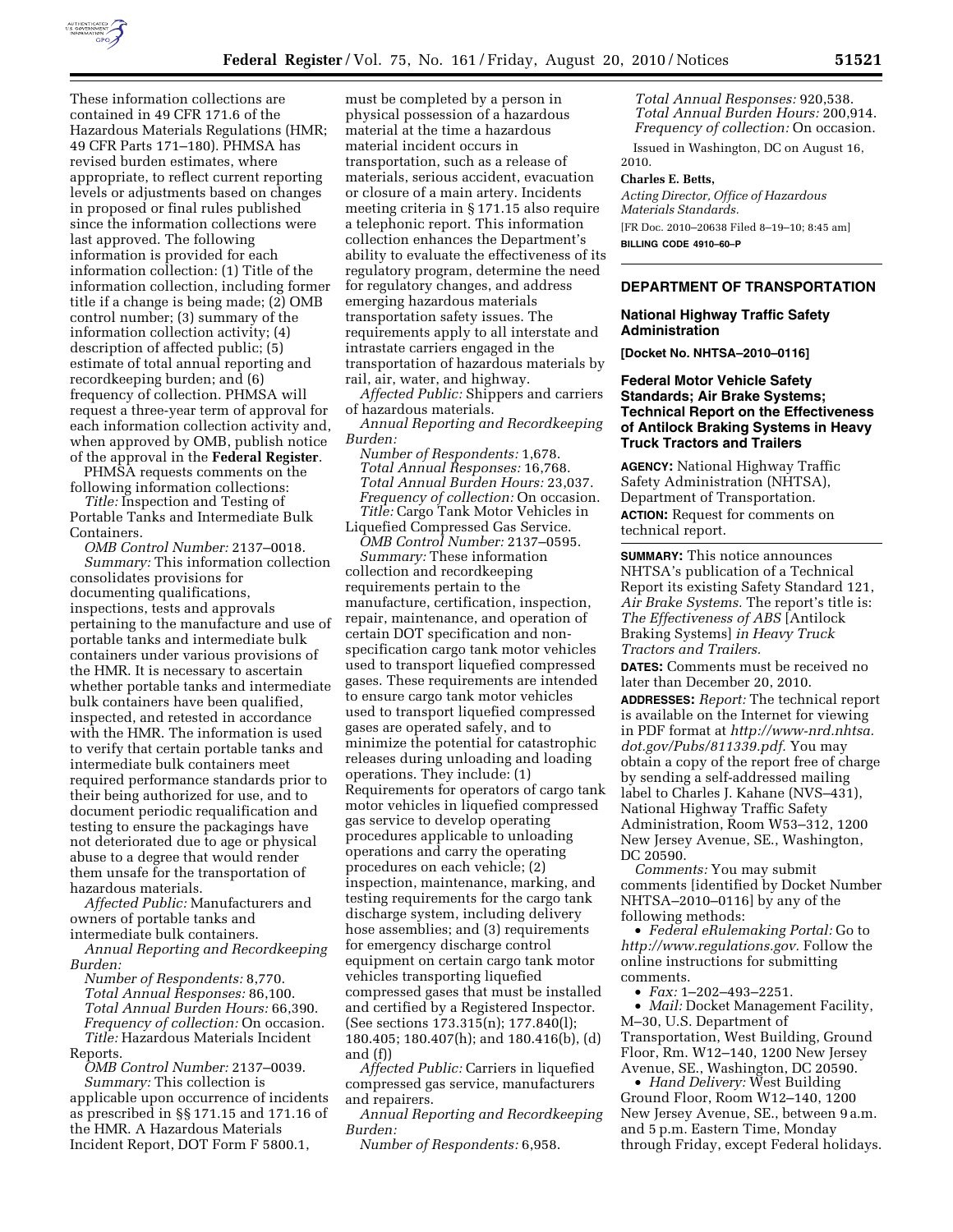

These information collections are contained in 49 CFR 171.6 of the Hazardous Materials Regulations (HMR; 49 CFR Parts 171–180). PHMSA has revised burden estimates, where appropriate, to reflect current reporting levels or adjustments based on changes in proposed or final rules published since the information collections were last approved. The following information is provided for each information collection: (1) Title of the information collection, including former title if a change is being made; (2) OMB control number; (3) summary of the information collection activity; (4) description of affected public; (5) estimate of total annual reporting and recordkeeping burden; and (6) frequency of collection. PHMSA will request a three-year term of approval for each information collection activity and, when approved by OMB, publish notice of the approval in the **Federal Register**.

PHMSA requests comments on the following information collections:

*Title:* Inspection and Testing of Portable Tanks and Intermediate Bulk Containers.

*OMB Control Number:* 2137–0018. *Summary:* This information collection consolidates provisions for documenting qualifications, inspections, tests and approvals pertaining to the manufacture and use of portable tanks and intermediate bulk containers under various provisions of the HMR. It is necessary to ascertain whether portable tanks and intermediate bulk containers have been qualified, inspected, and retested in accordance with the HMR. The information is used to verify that certain portable tanks and intermediate bulk containers meet required performance standards prior to their being authorized for use, and to document periodic requalification and testing to ensure the packagings have not deteriorated due to age or physical abuse to a degree that would render them unsafe for the transportation of hazardous materials.

*Affected Public:* Manufacturers and owners of portable tanks and intermediate bulk containers.

*Annual Reporting and Recordkeeping Burden:* 

*Number of Respondents:* 8,770. *Total Annual Responses:* 86,100. *Total Annual Burden Hours:* 66,390. *Frequency of collection:* On occasion. *Title:* Hazardous Materials Incident

Reports. *OMB Control Number:* 2137–0039. *Summary:* This collection is

applicable upon occurrence of incidents as prescribed in §§ 171.15 and 171.16 of the HMR. A Hazardous Materials Incident Report, DOT Form F 5800.1,

must be completed by a person in physical possession of a hazardous material at the time a hazardous material incident occurs in transportation, such as a release of materials, serious accident, evacuation or closure of a main artery. Incidents meeting criteria in § 171.15 also require a telephonic report. This information collection enhances the Department's ability to evaluate the effectiveness of its regulatory program, determine the need for regulatory changes, and address emerging hazardous materials transportation safety issues. The requirements apply to all interstate and intrastate carriers engaged in the transportation of hazardous materials by rail, air, water, and highway.

*Affected Public:* Shippers and carriers of hazardous materials.

*Annual Reporting and Recordkeeping Burden:* 

*Number of Respondents:* 1,678. *Total Annual Responses:* 16,768. *Total Annual Burden Hours:* 23,037. *Frequency of collection:* On occasion. *Title:* Cargo Tank Motor Vehicles in

Liquefied Compressed Gas Service. *OMB Control Number:* 2137–0595.

*Summary:* These information collection and recordkeeping requirements pertain to the manufacture, certification, inspection, repair, maintenance, and operation of certain DOT specification and nonspecification cargo tank motor vehicles used to transport liquefied compressed gases. These requirements are intended to ensure cargo tank motor vehicles used to transport liquefied compressed gases are operated safely, and to minimize the potential for catastrophic releases during unloading and loading operations. They include: (1) Requirements for operators of cargo tank motor vehicles in liquefied compressed gas service to develop operating procedures applicable to unloading operations and carry the operating procedures on each vehicle; (2) inspection, maintenance, marking, and testing requirements for the cargo tank discharge system, including delivery hose assemblies; and (3) requirements for emergency discharge control equipment on certain cargo tank motor vehicles transporting liquefied compressed gases that must be installed and certified by a Registered Inspector. (See sections 173.315(n); 177.840(l); 180.405; 180.407(h); and 180.416(b), (d) and (f))

*Affected Public:* Carriers in liquefied compressed gas service, manufacturers and repairers.

*Annual Reporting and Recordkeeping Burden:* 

*Number of Respondents:* 6,958.

*Total Annual Responses:* 920,538. *Total Annual Burden Hours:* 200,914. *Frequency of collection:* On occasion.

Issued in Washington, DC on August 16, 2010.

#### **Charles E. Betts,**

*Acting Director, Office of Hazardous Materials Standards.*  [FR Doc. 2010–20638 Filed 8–19–10; 8:45 am]

**BILLING CODE 4910–60–P** 

#### **DEPARTMENT OF TRANSPORTATION**

## **National Highway Traffic Safety Administration**

**[Docket No. NHTSA–2010–0116]** 

**Federal Motor Vehicle Safety Standards; Air Brake Systems; Technical Report on the Effectiveness of Antilock Braking Systems in Heavy Truck Tractors and Trailers** 

**AGENCY:** National Highway Traffic Safety Administration (NHTSA), Department of Transportation. **ACTION:** Request for comments on technical report.

**SUMMARY:** This notice announces NHTSA's publication of a Technical Report its existing Safety Standard 121, *Air Brake Systems.* The report's title is: *The Effectiveness of ABS* [Antilock Braking Systems] *in Heavy Truck Tractors and Trailers.* 

**DATES:** Comments must be received no later than December 20, 2010.

**ADDRESSES:** *Report:* The technical report is available on the Internet for viewing in PDF format at *[http://www-nrd.nhtsa.](http://www-nrd.nhtsa.dot.gov/Pubs/811339.pdf) [dot.gov/Pubs/811339.pdf.](http://www-nrd.nhtsa.dot.gov/Pubs/811339.pdf)* You may obtain a copy of the report free of charge by sending a self-addressed mailing label to Charles J. Kahane (NVS–431), National Highway Traffic Safety Administration, Room W53–312, 1200 New Jersey Avenue, SE., Washington, DC 20590.

*Comments:* You may submit comments [identified by Docket Number NHTSA–2010–0116] by any of the following methods:

• *Federal eRulemaking Portal:* Go to *[http://www.regulations.gov.](http://www.regulations.gov)* Follow the online instructions for submitting comments.

• *Fax:* 1–202–493–2251.

• *Mail:* Docket Management Facility, M–30, U.S. Department of Transportation, West Building, Ground Floor, Rm. W12–140, 1200 New Jersey

Avenue, SE., Washington, DC 20590.

• *Hand Delivery:* West Building Ground Floor, Room W12–140, 1200 New Jersey Avenue, SE., between 9 a.m. and 5 p.m. Eastern Time, Monday through Friday, except Federal holidays.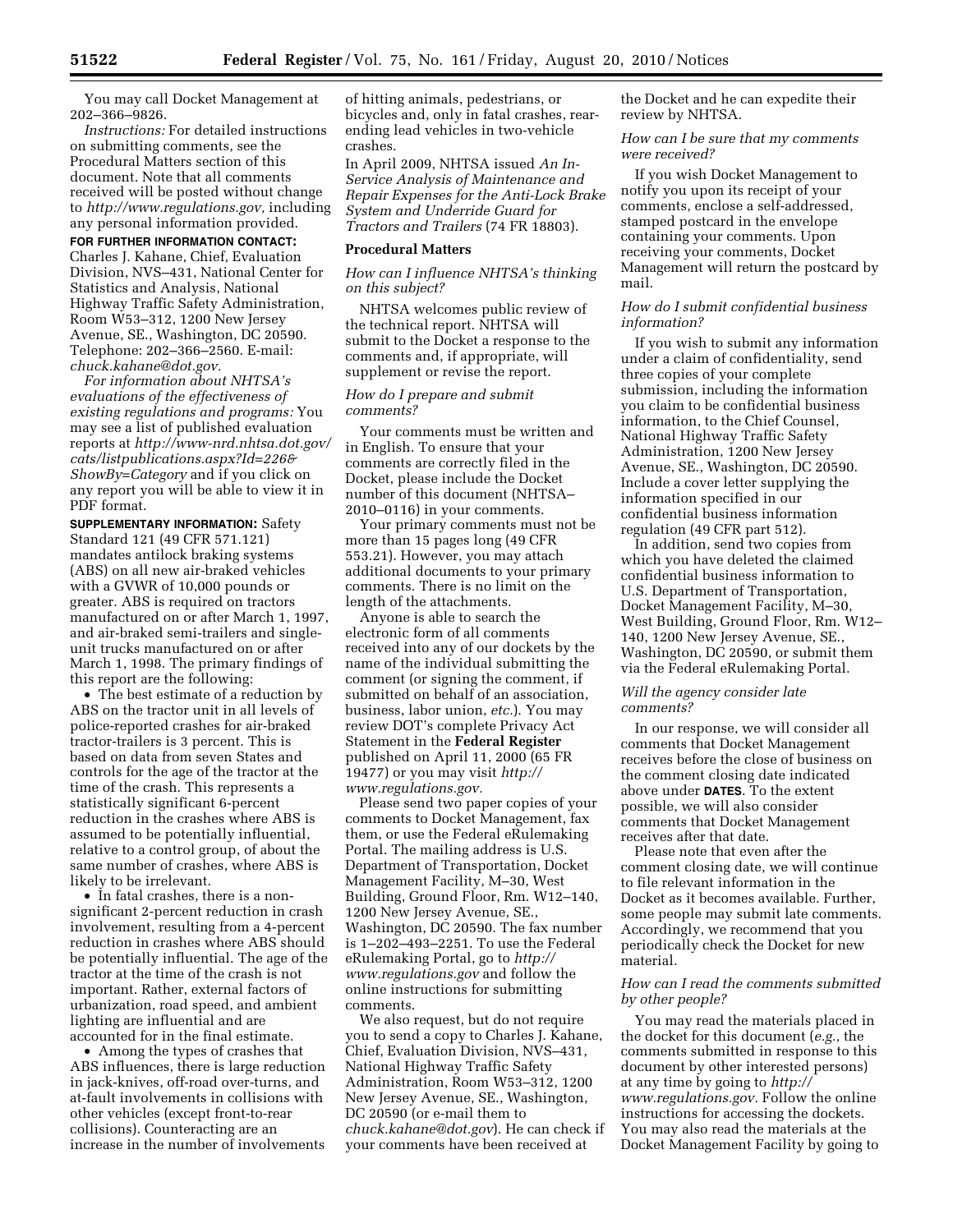You may call Docket Management at 202–366–9826.

*Instructions:* For detailed instructions on submitting comments, see the Procedural Matters section of this document. Note that all comments received will be posted without change to *[http://www.regulations.gov,](http://www.regulations.gov)* including any personal information provided.

## **FOR FURTHER INFORMATION CONTACT:**

Charles J. Kahane, Chief, Evaluation Division, NVS–431, National Center for Statistics and Analysis, National Highway Traffic Safety Administration, Room W53–312, 1200 New Jersey Avenue, SE., Washington, DC 20590. Telephone: 202–366–2560. E-mail: *[chuck.kahane@dot.gov.](mailto:chuck.kahane@dot.gov)* 

*For information about NHTSA's evaluations of the effectiveness of existing regulations and programs:* You may see a list of published evaluation reports at *[http://www-nrd.nhtsa.dot.gov/](http://www-nrd.nhtsa.dot.gov/cats/listpublications.aspx?Id=226&ShowBy=Category)  [cats/listpublications.aspx?Id=226&](http://www-nrd.nhtsa.dot.gov/cats/listpublications.aspx?Id=226&ShowBy=Category) [ShowBy=Category](http://www-nrd.nhtsa.dot.gov/cats/listpublications.aspx?Id=226&ShowBy=Category)* and if you click on any report you will be able to view it in PDF format.

**SUPPLEMENTARY INFORMATION:** Safety Standard 121 (49 CFR 571.121) mandates antilock braking systems (ABS) on all new air-braked vehicles with a GVWR of 10,000 pounds or greater. ABS is required on tractors manufactured on or after March 1, 1997, and air-braked semi-trailers and singleunit trucks manufactured on or after March 1, 1998. The primary findings of this report are the following:

• The best estimate of a reduction by ABS on the tractor unit in all levels of police-reported crashes for air-braked tractor-trailers is 3 percent. This is based on data from seven States and controls for the age of the tractor at the time of the crash. This represents a statistically significant 6-percent reduction in the crashes where ABS is assumed to be potentially influential, relative to a control group, of about the same number of crashes, where ABS is likely to be irrelevant.

• In fatal crashes, there is a nonsignificant 2-percent reduction in crash involvement, resulting from a 4-percent reduction in crashes where ABS should be potentially influential. The age of the tractor at the time of the crash is not important. Rather, external factors of urbanization, road speed, and ambient lighting are influential and are accounted for in the final estimate.

• Among the types of crashes that ABS influences, there is large reduction in jack-knives, off-road over-turns, and at-fault involvements in collisions with other vehicles (except front-to-rear collisions). Counteracting are an increase in the number of involvements

of hitting animals, pedestrians, or bicycles and, only in fatal crashes, rearending lead vehicles in two-vehicle crashes.

In April 2009, NHTSA issued *An In-Service Analysis of Maintenance and Repair Expenses for the Anti-Lock Brake System and Underride Guard for Tractors and Trailers* (74 FR 18803).

#### **Procedural Matters**

## *How can I influence NHTSA's thinking on this subject?*

NHTSA welcomes public review of the technical report. NHTSA will submit to the Docket a response to the comments and, if appropriate, will supplement or revise the report.

#### *How do I prepare and submit comments?*

Your comments must be written and in English. To ensure that your comments are correctly filed in the Docket, please include the Docket number of this document (NHTSA– 2010–0116) in your comments.

Your primary comments must not be more than 15 pages long (49 CFR 553.21). However, you may attach additional documents to your primary comments. There is no limit on the length of the attachments.

Anyone is able to search the electronic form of all comments received into any of our dockets by the name of the individual submitting the comment (or signing the comment, if submitted on behalf of an association, business, labor union, *etc.*). You may review DOT's complete Privacy Act Statement in the **Federal Register**  published on April 11, 2000 (65 FR 19477) or you may visit *[http://](http://www.regulations.gov) [www.regulations.gov.](http://www.regulations.gov)* 

Please send two paper copies of your comments to Docket Management, fax them, or use the Federal eRulemaking Portal. The mailing address is U.S. Department of Transportation, Docket Management Facility, M–30, West Building, Ground Floor, Rm. W12–140, 1200 New Jersey Avenue, SE., Washington, DC 20590. The fax number is 1–202–493–2251. To use the Federal eRulemaking Portal, go to *[http://](http://www.regulations.gov)  [www.regulations.gov](http://www.regulations.gov)* and follow the online instructions for submitting comments.

We also request, but do not require you to send a copy to Charles J. Kahane, Chief, Evaluation Division, NVS–431, National Highway Traffic Safety Administration, Room W53–312, 1200 New Jersey Avenue, SE., Washington, DC 20590 (or e-mail them to *[chuck.kahane@dot.gov](mailto:chuck.kahane@dot.gov)*). He can check if your comments have been received at

the Docket and he can expedite their review by NHTSA.

*How can I be sure that my comments were received?* 

If you wish Docket Management to notify you upon its receipt of your comments, enclose a self-addressed, stamped postcard in the envelope containing your comments. Upon receiving your comments, Docket Management will return the postcard by mail.

# *How do I submit confidential business information?*

If you wish to submit any information under a claim of confidentiality, send three copies of your complete submission, including the information you claim to be confidential business information, to the Chief Counsel, National Highway Traffic Safety Administration, 1200 New Jersey Avenue, SE., Washington, DC 20590. Include a cover letter supplying the information specified in our confidential business information regulation (49 CFR part 512).

In addition, send two copies from which you have deleted the claimed confidential business information to U.S. Department of Transportation, Docket Management Facility, M–30, West Building, Ground Floor, Rm. W12– 140, 1200 New Jersey Avenue, SE., Washington, DC 20590, or submit them via the Federal eRulemaking Portal.

## *Will the agency consider late comments?*

In our response, we will consider all comments that Docket Management receives before the close of business on the comment closing date indicated above under **DATES**. To the extent possible, we will also consider comments that Docket Management receives after that date.

Please note that even after the comment closing date, we will continue to file relevant information in the Docket as it becomes available. Further, some people may submit late comments. Accordingly, we recommend that you periodically check the Docket for new material.

# *How can I read the comments submitted by other people?*

You may read the materials placed in the docket for this document (*e.g.,* the comments submitted in response to this document by other interested persons) at any time by going to *[http://](http://www.regulations.gov)  [www.regulations.gov.](http://www.regulations.gov)* Follow the online instructions for accessing the dockets. You may also read the materials at the Docket Management Facility by going to